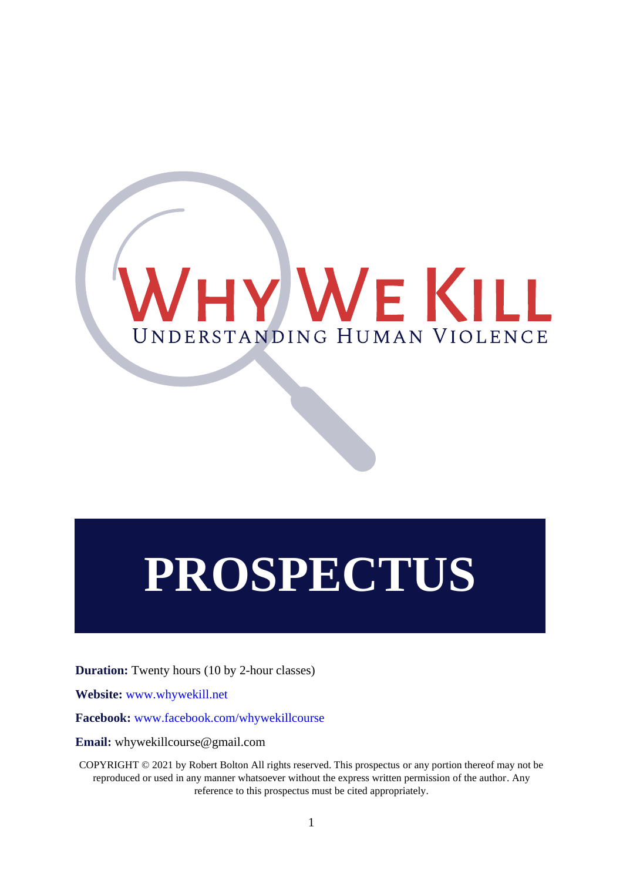

# **PROSPECTUS**

**Duration:** Twenty hours (10 by 2-hour classes)

**Website:** [www.whywekill.net](http://www.whywekill.net/) 

**Facebook:** [www.facebook.com/whywekillcourse](http://www.facebook.com/whywekillcourse)

**Email:** whywekillcourse@gmail.com

COPYRIGHT © 2021 by Robert Bolton All rights reserved. This prospectus or any portion thereof may not be reproduced or used in any manner whatsoever without the express written permission of the author. Any reference to this prospectus must be cited appropriately.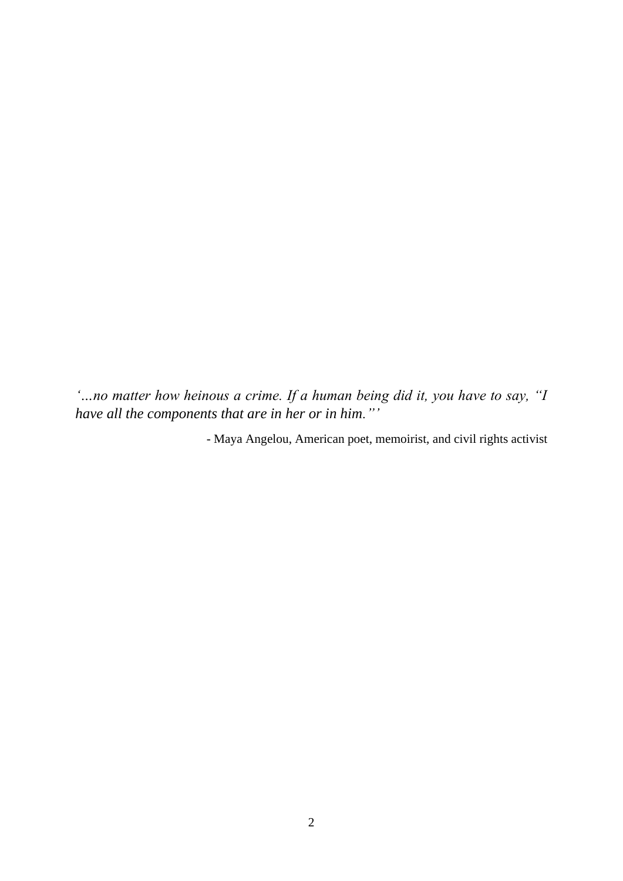*'…no matter how heinous a crime. If a human being did it, you have to say, "I have all the components that are in her or in him."'*

- Maya Angelou, American poet, memoirist, and civil rights activist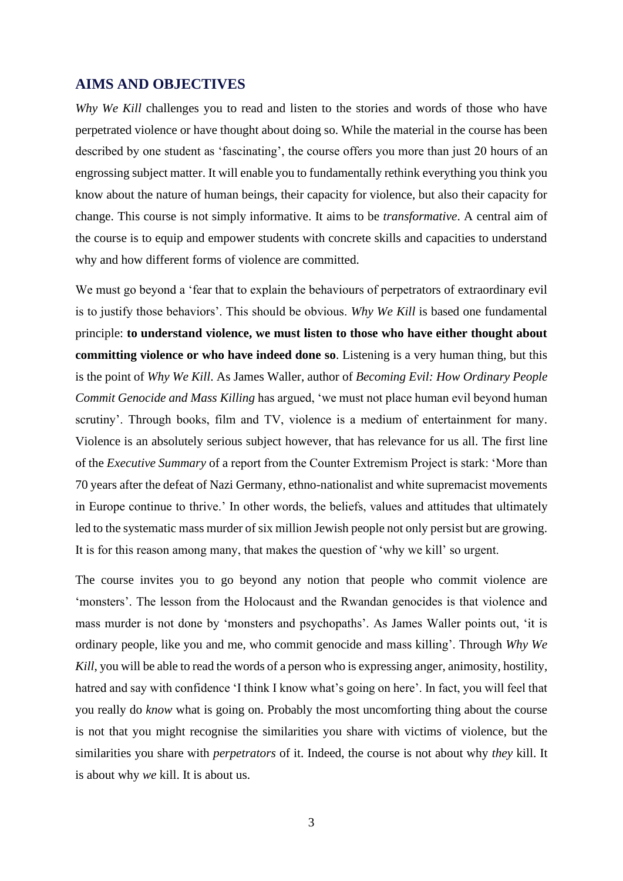## **AIMS AND OBJECTIVES**

*Why We Kill* challenges you to read and listen to the stories and words of those who have perpetrated violence or have thought about doing so. While the material in the course has been described by one student as 'fascinating', the course offers you more than just 20 hours of an engrossing subject matter. It will enable you to fundamentally rethink everything you think you know about the nature of human beings, their capacity for violence, but also their capacity for change. This course is not simply informative. It aims to be *transformative*. A central aim of the course is to equip and empower students with concrete skills and capacities to understand why and how different forms of violence are committed.

We must go beyond a 'fear that to explain the behaviours of perpetrators of extraordinary evil is to justify those behaviors'. This should be obvious. *Why We Kill* is based one fundamental principle: **to understand violence, we must listen to those who have either thought about committing violence or who have indeed done so**. Listening is a very human thing, but this is the point of *Why We Kill*. As James Waller, author of *Becoming Evil: How Ordinary People Commit Genocide and Mass Killing* has argued, 'we must not place human evil beyond human scrutiny'. Through books, film and TV, violence is a medium of entertainment for many. Violence is an absolutely serious subject however, that has relevance for us all. The first line of the *Executive Summary* of a report from the Counter Extremism Project is stark: 'More than 70 years after the defeat of Nazi Germany, ethno-nationalist and white supremacist movements in Europe continue to thrive.' In other words, the beliefs, values and attitudes that ultimately led to the systematic mass murder of six million Jewish people not only persist but are growing. It is for this reason among many, that makes the question of 'why we kill' so urgent.

The course invites you to go beyond any notion that people who commit violence are 'monsters'. The lesson from the Holocaust and the Rwandan genocides is that violence and mass murder is not done by 'monsters and psychopaths'. As James Waller points out, 'it is ordinary people, like you and me, who commit genocide and mass killing'. Through *Why We Kill*, you will be able to read the words of a person who is expressing anger, animosity, hostility, hatred and say with confidence 'I think I know what's going on here'. In fact, you will feel that you really do *know* what is going on. Probably the most uncomforting thing about the course is not that you might recognise the similarities you share with victims of violence, but the similarities you share with *perpetrators* of it. Indeed, the course is not about why *they* kill. It is about why *we* kill. It is about us.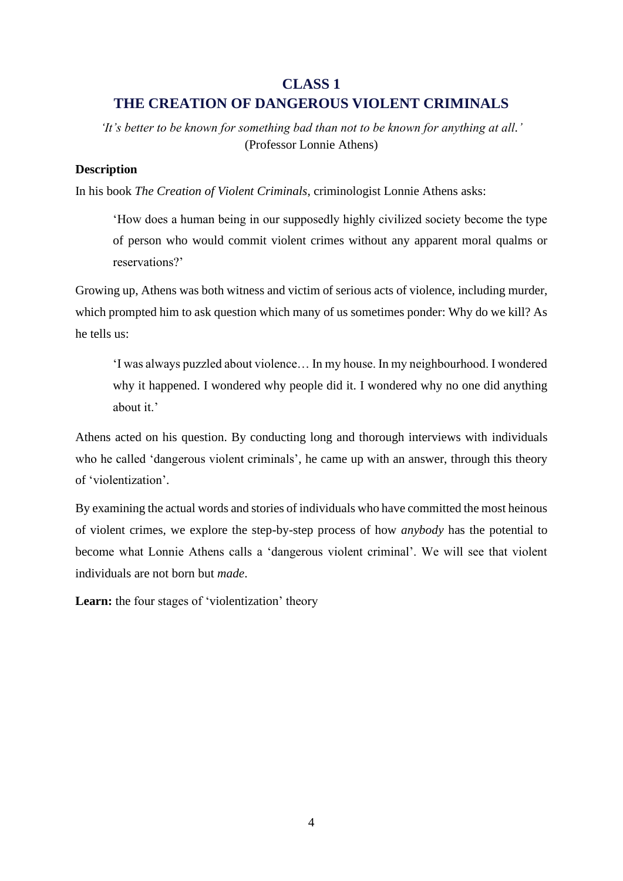## **CLASS 1**

## **THE CREATION OF DANGEROUS VIOLENT CRIMINALS**

*'It's better to be known for something bad than not to be known for anything at all.'* (Professor Lonnie Athens)

## **Description**

In his book *The Creation of Violent Criminals*, criminologist Lonnie Athens asks:

'How does a human being in our supposedly highly civilized society become the type of person who would commit violent crimes without any apparent moral qualms or reservations?'

Growing up, Athens was both witness and victim of serious acts of violence, including murder, which prompted him to ask question which many of us sometimes ponder: Why do we kill? As he tells us:

'I was always puzzled about violence… In my house. In my neighbourhood. I wondered why it happened. I wondered why people did it. I wondered why no one did anything about it.'

Athens acted on his question. By conducting long and thorough interviews with individuals who he called 'dangerous violent criminals', he came up with an answer, through this theory of 'violentization'.

By examining the actual words and stories of individuals who have committed the most heinous of violent crimes, we explore the step-by-step process of how *anybody* has the potential to become what Lonnie Athens calls a 'dangerous violent criminal'. We will see that violent individuals are not born but *made*.

Learn: the four stages of 'violentization' theory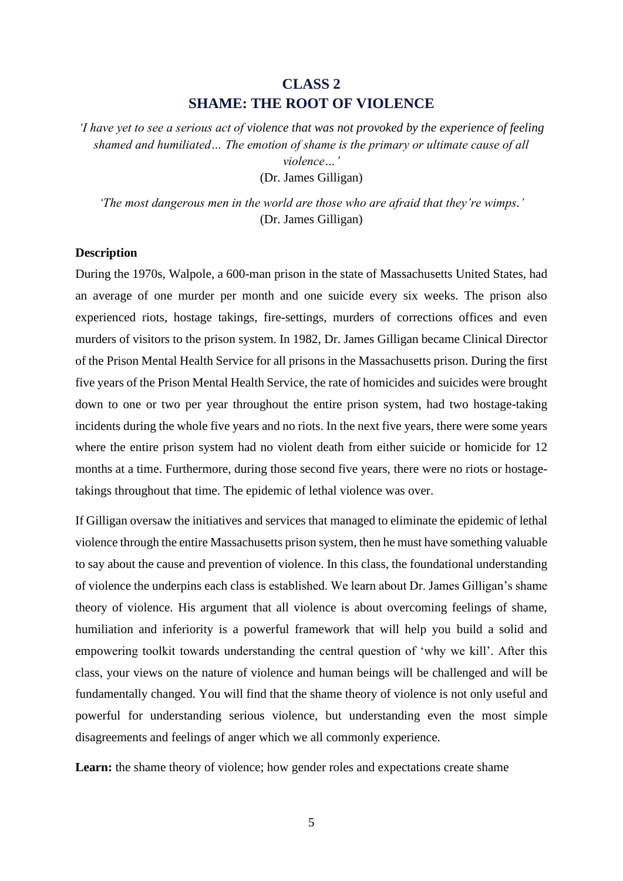## **CLASS 2 SHAME: THE ROOT OF VIOLENCE**

*'I have yet to see a serious act of violence that was not provoked by the experience of feeling shamed and humiliated… The emotion of shame is the primary or ultimate cause of all violence…'*

(Dr. James Gilligan)

*'The most dangerous men in the world are those who are afraid that they're wimps.'* (Dr. James Gilligan)

#### **Description**

During the 1970s, Walpole, a 600-man prison in the state of Massachusetts United States, had an average of one murder per month and one suicide every six weeks. The prison also experienced riots, hostage takings, fire-settings, murders of corrections offices and even murders of visitors to the prison system. In 1982, Dr. James Gilligan became Clinical Director of the Prison Mental Health Service for all prisons in the Massachusetts prison. During the first five years of the Prison Mental Health Service, the rate of homicides and suicides were brought down to one or two per year throughout the entire prison system, had two hostage-taking incidents during the whole five years and no riots. In the next five years, there were some years where the entire prison system had no violent death from either suicide or homicide for 12 months at a time. Furthermore, during those second five years, there were no riots or hostagetakings throughout that time. The epidemic of lethal violence was over.

If Gilligan oversaw the initiatives and services that managed to eliminate the epidemic of lethal violence through the entire Massachusetts prison system, then he must have something valuable to say about the cause and prevention of violence. In this class, the foundational understanding of violence the underpins each class is established. We learn about Dr. James Gilligan's shame theory of violence. His argument that all violence is about overcoming feelings of shame, humiliation and inferiority is a powerful framework that will help you build a solid and empowering toolkit towards understanding the central question of 'why we kill'. After this class, your views on the nature of violence and human beings will be challenged and will be fundamentally changed. You will find that the shame theory of violence is not only useful and powerful for understanding serious violence, but understanding even the most simple disagreements and feelings of anger which we all commonly experience.

Learn: the shame theory of violence; how gender roles and expectations create shame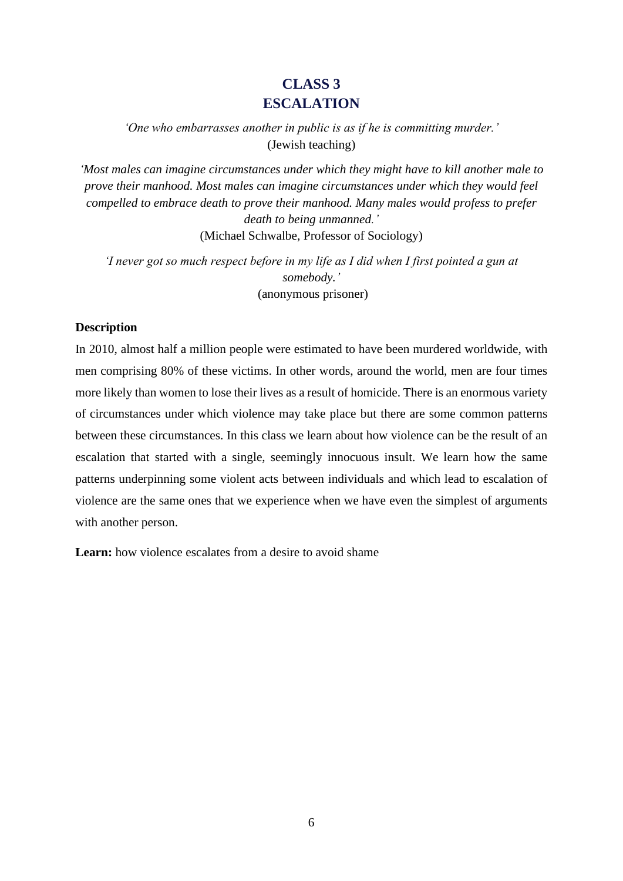# **CLASS 3 ESCALATION**

*'One who embarrasses another in public is as if he is committing murder.'* (Jewish teaching)

*'Most males can imagine circumstances under which they might have to kill another male to prove their manhood. Most males can imagine circumstances under which they would feel compelled to embrace death to prove their manhood. Many males would profess to prefer death to being unmanned.'*

(Michael Schwalbe, Professor of Sociology)

*'I never got so much respect before in my life as I did when I first pointed a gun at somebody.'* (anonymous prisoner)

## **Description**

In 2010, almost half a million people were estimated to have been murdered worldwide, with men comprising 80% of these victims. In other words, around the world, men are four times more likely than women to lose their lives as a result of homicide. There is an enormous variety of circumstances under which violence may take place but there are some common patterns between these circumstances. In this class we learn about how violence can be the result of an escalation that started with a single, seemingly innocuous insult. We learn how the same patterns underpinning some violent acts between individuals and which lead to escalation of violence are the same ones that we experience when we have even the simplest of arguments with another person.

**Learn:** how violence escalates from a desire to avoid shame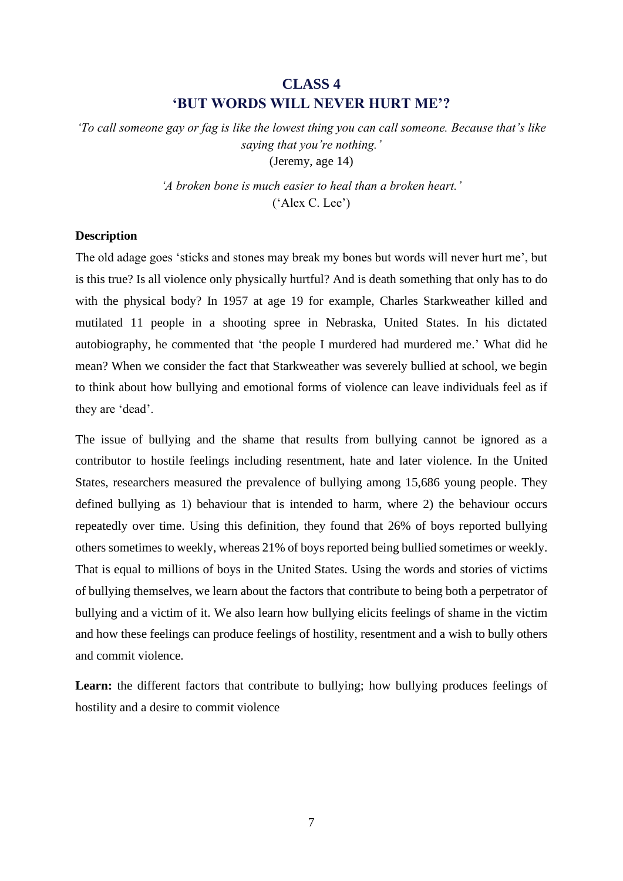# **CLASS 4 'BUT WORDS WILL NEVER HURT ME'?**

*'To call someone gay or fag is like the lowest thing you can call someone. Because that's like saying that you're nothing.'* (Jeremy, age 14)

> *'A broken bone is much easier to heal than a broken heart.'* ('Alex C. Lee')

## **Description**

The old adage goes 'sticks and stones may break my bones but words will never hurt me', but is this true? Is all violence only physically hurtful? And is death something that only has to do with the physical body? In 1957 at age 19 for example, Charles Starkweather killed and mutilated 11 people in a shooting spree in Nebraska, United States. In his dictated autobiography, he commented that 'the people I murdered had murdered me.' What did he mean? When we consider the fact that Starkweather was severely bullied at school, we begin to think about how bullying and emotional forms of violence can leave individuals feel as if they are 'dead'.

The issue of bullying and the shame that results from bullying cannot be ignored as a contributor to hostile feelings including resentment, hate and later violence. In the United States, researchers measured the prevalence of bullying among 15,686 young people. They defined bullying as 1) behaviour that is intended to harm, where 2) the behaviour occurs repeatedly over time. Using this definition, they found that 26% of boys reported bullying others sometimes to weekly, whereas 21% of boys reported being bullied sometimes or weekly. That is equal to millions of boys in the United States. Using the words and stories of victims of bullying themselves, we learn about the factors that contribute to being both a perpetrator of bullying and a victim of it. We also learn how bullying elicits feelings of shame in the victim and how these feelings can produce feelings of hostility, resentment and a wish to bully others and commit violence.

Learn: the different factors that contribute to bullying; how bullying produces feelings of hostility and a desire to commit violence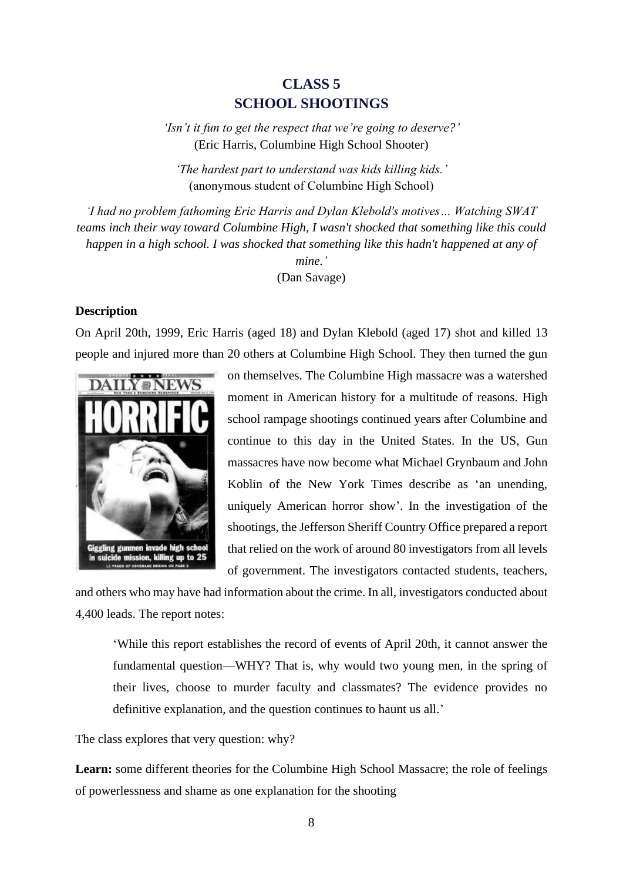## **CLASS 5 SCHOOL SHOOTINGS**

*'Isn't it fun to get the respect that we're going to deserve?'* (Eric Harris, Columbine High School Shooter)

*'The hardest part to understand was kids killing kids.'* (anonymous student of Columbine High School)

*'I had no problem fathoming Eric Harris and Dylan Klebold's motives… Watching SWAT teams inch their way toward Columbine High, I wasn't shocked that something like this could happen in a high school. I was shocked that something like this hadn't happened at any of mine.'* (Dan Savage)

#### **Description**

On April 20th, 1999, Eric Harris (aged 18) and Dylan Klebold (aged 17) shot and killed 13 people and injured more than 20 others at Columbine High School. They then turned the gun



on themselves. The Columbine High massacre was a watershed moment in American history for a multitude of reasons. High school rampage shootings continued years after Columbine and continue to this day in the United States. In the US, Gun massacres have now become what [Michael Grynbaum](https://www.nytimes.com/by/michael-m-grynbaum) and [John](https://www.nytimes.com/by/john-koblin)  [Koblin](https://www.nytimes.com/by/john-koblin) of the New York Times describe as 'an unending, uniquely American horror show'. In the investigation of the shootings, the Jefferson Sheriff Country Office prepared a report that relied on the work of around 80 investigators from all levels of government. The investigators contacted students, teachers,

and others who may have had information about the crime. In all, investigators conducted about 4,400 leads. The report notes:

'While this report establishes the record of events of April 20th, it cannot answer the fundamental question—WHY? That is, why would two young men, in the spring of their lives, choose to murder faculty and classmates? The evidence provides no definitive explanation, and the question continues to haunt us all.'

The class explores that very question: why?

**Learn:** some different theories for the Columbine High School Massacre; the role of feelings of powerlessness and shame as one explanation for the shooting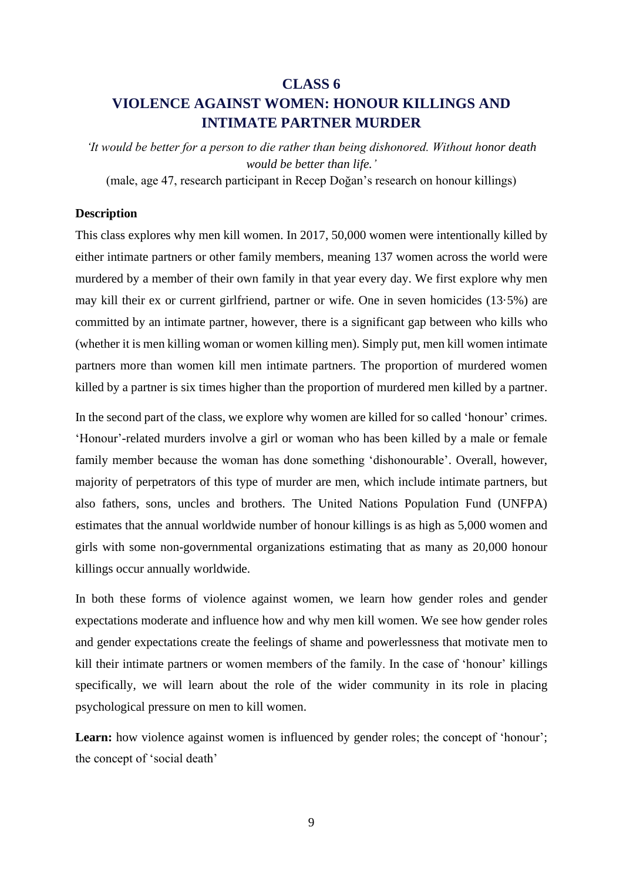# **CLASS 6 VIOLENCE AGAINST WOMEN: HONOUR KILLINGS AND INTIMATE PARTNER MURDER**

*'It would be better for a person to die rather than being dishonored. Without honor death would be better than life.'*

(male, age 47, research participant in Recep Doğan's research on honour killings)

#### **Description**

This class explores why men kill women. In 2017, 50,000 women were intentionally killed by either intimate partners or other family members, meaning 137 women across the world were murdered by a member of their own family in that year every day. We first explore why men may kill their ex or current girlfriend, partner or wife. One in seven homicides (13·5%) are committed by an intimate partner, however, there is a significant gap between who kills who (whether it is men killing woman or women killing men). Simply put, men kill women intimate partners more than women kill men intimate partners. The proportion of murdered women killed by a partner is six times higher than the proportion of murdered men killed by a partner.

In the second part of the class, we explore why women are killed for so called 'honour' crimes. 'Honour'-related murders involve a girl or woman who has been killed by a male or female family member because the woman has done something 'dishonourable'. Overall, however, majority of perpetrators of this type of murder are men, which include intimate partners, but also fathers, sons, uncles and brothers. The United Nations Population Fund (UNFPA) estimates that the annual worldwide number of honour killings is as high as 5,000 women and girls with some non-governmental organizations estimating that as many as 20,000 honour killings occur annually worldwide.

In both these forms of violence against women, we learn how gender roles and gender expectations moderate and influence how and why men kill women. We see how gender roles and gender expectations create the feelings of shame and powerlessness that motivate men to kill their intimate partners or women members of the family. In the case of 'honour' killings specifically, we will learn about the role of the wider community in its role in placing psychological pressure on men to kill women.

Learn: how violence against women is influenced by gender roles; the concept of 'honour'; the concept of 'social death'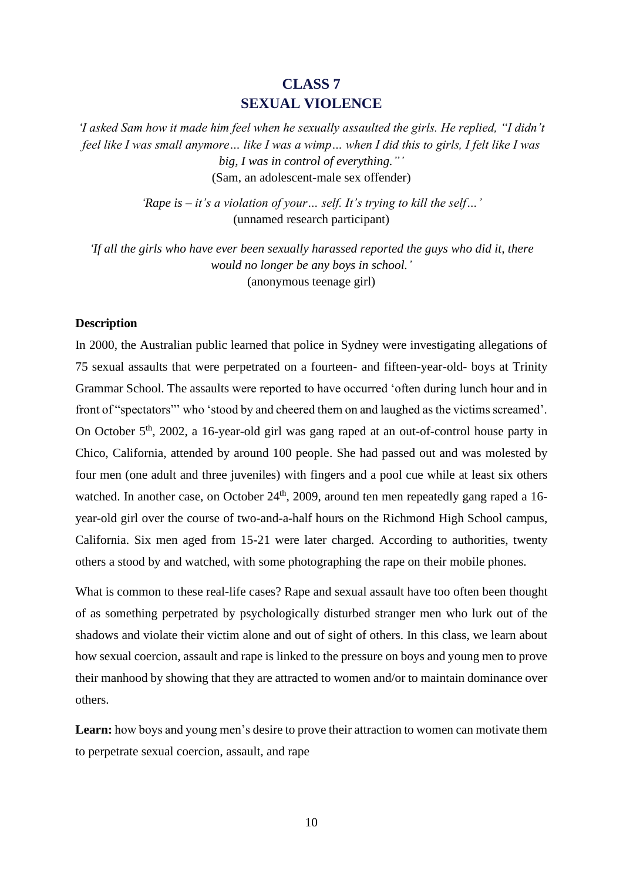## **CLASS 7 SEXUAL VIOLENCE**

*'I asked Sam how it made him feel when he sexually assaulted the girls. He replied, "I didn't feel like I was small anymore… like I was a wimp… when I did this to girls, I felt like I was big, I was in control of everything."'* (Sam, an adolescent-male sex offender)

> *'Rape is – it's a violation of your… self. It's trying to kill the self…'* (unnamed research participant)

*'If all the girls who have ever been sexually harassed reported the guys who did it, there would no longer be any boys in school.'* (anonymous teenage girl)

#### **Description**

In 2000, the Australian public learned that police in Sydney were investigating allegations of 75 sexual assaults that were perpetrated on a fourteen- and fifteen-year-old- boys at Trinity Grammar School. The assaults were reported to have occurred 'often during lunch hour and in front of "spectators"' who 'stood by and cheered them on and laughed as the victims screamed'. On October 5<sup>th</sup>, 2002, a 16-year-old girl was gang raped at an out-of-control house party in Chico, California, attended by around 100 people. She had passed out and was molested by four men (one adult and three juveniles) with fingers and a pool cue while at least six others watched. In another case, on October 24<sup>th</sup>, 2009, around ten men repeatedly gang raped a 16year-old girl over the course of two-and-a-half hours on the Richmond High School campus, California. Six men aged from 15-21 were later charged. According to authorities, twenty others a stood by and watched, with some photographing the rape on their mobile phones.

What is common to these real-life cases? Rape and sexual assault have too often been thought of as something perpetrated by psychologically disturbed stranger men who lurk out of the shadows and violate their victim alone and out of sight of others. In this class, we learn about how sexual coercion, assault and rape is linked to the pressure on boys and young men to prove their manhood by showing that they are attracted to women and/or to maintain dominance over others.

Learn: how boys and young men's desire to prove their attraction to women can motivate them to perpetrate sexual coercion, assault, and rape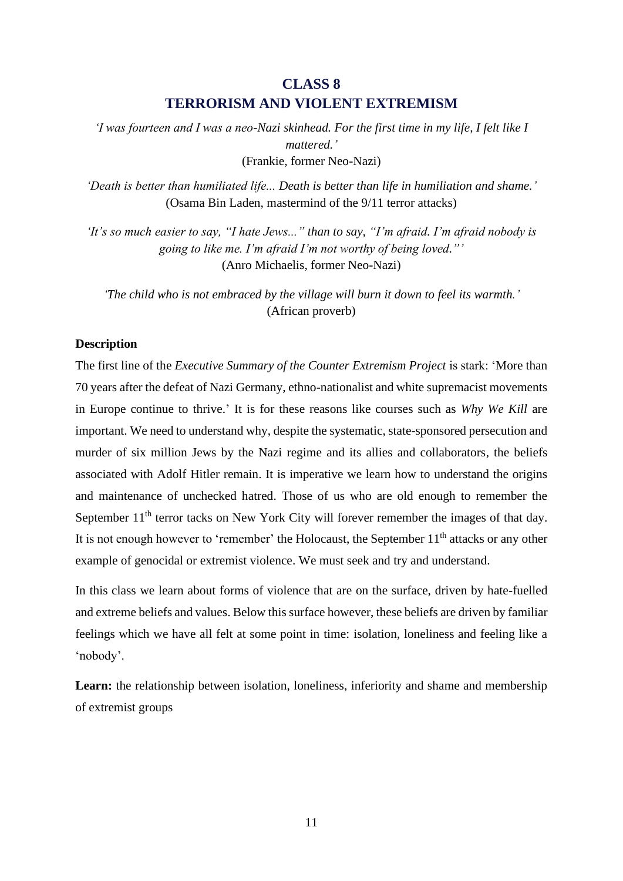# **CLASS 8 TERRORISM AND VIOLENT EXTREMISM**

*'I was fourteen and I was a neo-Nazi skinhead. For the first time in my life, I felt like I mattered.'* (Frankie, former Neo-Nazi)

*'Death is better than humiliated life... Death is better than life in humiliation and shame.'* (Osama Bin Laden, mastermind of the 9/11 terror attacks)

*'It's so much easier to say, "I hate Jews..." than to say, "I'm afraid. I'm afraid nobody is going to like me. I'm afraid I'm not worthy of being loved."'* (Anro Michaelis, former Neo-Nazi)

*'The child who is not embraced by the village will burn it down to feel its warmth.'* (African proverb)

## **Description**

The first line of the *Executive Summary of the Counter Extremism Project* is stark: 'More than 70 years after the defeat of Nazi Germany, ethno-nationalist and white supremacist movements in Europe continue to thrive.' It is for these reasons like courses such as *Why We Kill* are important. We need to understand why, despite the systematic, state-sponsored persecution and murder of six million Jews by the Nazi regime and its allies and collaborators, the beliefs associated with Adolf Hitler remain. It is imperative we learn how to understand the origins and maintenance of unchecked hatred. Those of us who are old enough to remember the September  $11<sup>th</sup>$  terror tacks on New York City will forever remember the images of that day. It is not enough however to 'remember' the Holocaust, the September 11<sup>th</sup> attacks or any other example of genocidal or extremist violence. We must seek and try and understand.

In this class we learn about forms of violence that are on the surface, driven by hate-fuelled and extreme beliefs and values. Below this surface however, these beliefs are driven by familiar feelings which we have all felt at some point in time: isolation, loneliness and feeling like a 'nobody'.

Learn: the relationship between isolation, loneliness, inferiority and shame and membership of extremist groups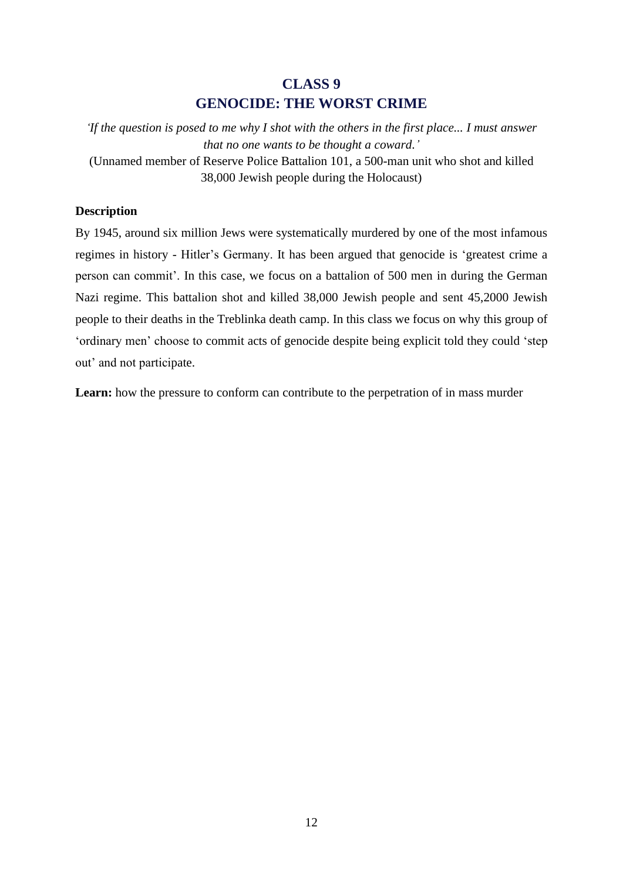# **CLASS 9 GENOCIDE: THE WORST CRIME**

*'If the question is posed to me why I shot with the others in the first place... I must answer that no one wants to be thought a coward.'* (Unnamed member of Reserve Police Battalion 101, a 500-man unit who shot and killed

38,000 Jewish people during the Holocaust)

## **Description**

By 1945, around six million Jews were systematically murdered by one of the most infamous regimes in history - Hitler's Germany. It has been argued that genocide is 'greatest crime a person can commit'. In this case, we focus on a battalion of 500 men in during the German Nazi regime. This battalion shot and killed 38,000 Jewish people and sent 45,2000 Jewish people to their deaths in the Treblinka death camp. In this class we focus on why this group of 'ordinary men' choose to commit acts of genocide despite being explicit told they could 'step out' and not participate.

**Learn:** how the pressure to conform can contribute to the perpetration of in mass murder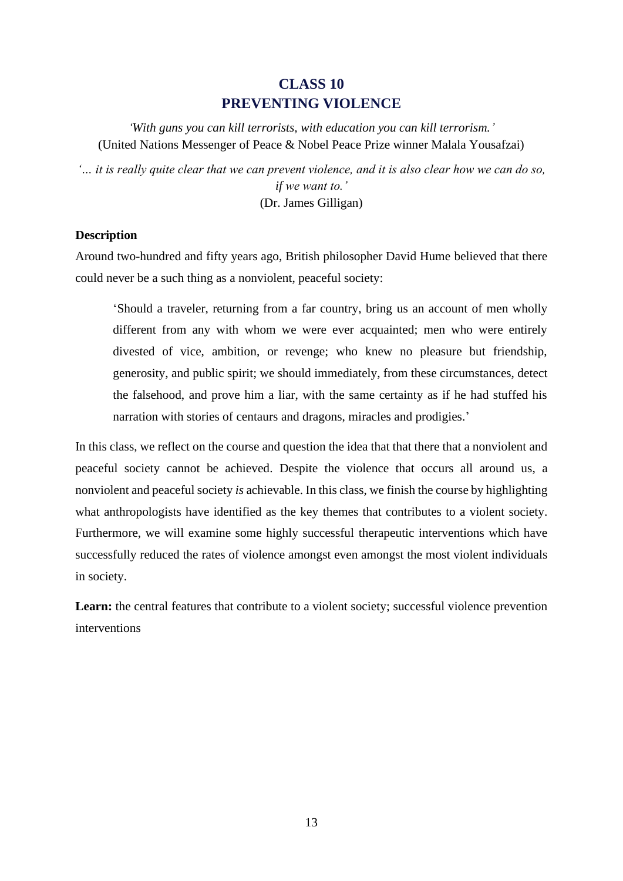## **CLASS 10 PREVENTING VIOLENCE**

*'With guns you can kill terrorists, with education you can kill terrorism.'* (United Nations Messenger of Peace & Nobel Peace Prize winner Malala Yousafzai)

*'… it is really quite clear that we can prevent violence, and it is also clear how we can do so, if we want to.'* (Dr. James Gilligan)

## **Description**

Around two-hundred and fifty years ago, British philosopher David Hume believed that there could never be a such thing as a nonviolent, peaceful society:

'Should a traveler, returning from a far country, bring us an account of men wholly different from any with whom we were ever acquainted; men who were entirely divested of vice, ambition, or revenge; who knew no pleasure but friendship, generosity, and public spirit; we should immediately, from these circumstances, detect the falsehood, and prove him a liar, with the same certainty as if he had stuffed his narration with stories of centaurs and dragons, miracles and prodigies.'

In this class, we reflect on the course and question the idea that that there that a nonviolent and peaceful society cannot be achieved. Despite the violence that occurs all around us, a nonviolent and peaceful society *is* achievable. In this class, we finish the course by highlighting what anthropologists have identified as the key themes that contributes to a violent society. Furthermore, we will examine some highly successful therapeutic interventions which have successfully reduced the rates of violence amongst even amongst the most violent individuals in society.

Learn: the central features that contribute to a violent society; successful violence prevention interventions